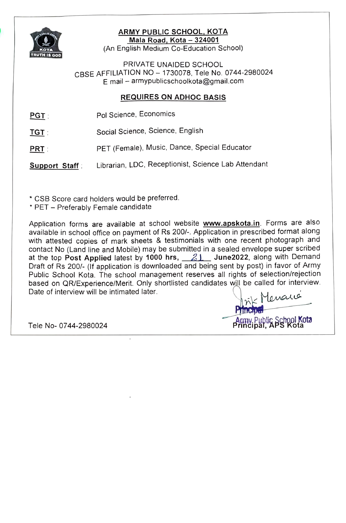

# ARMY PUBLIC SCHOOL, KOTA<br>Mala Road, Kota – 324001

(An English Medium Co-Education School)

PRIVATE UNAIDED SCHOOL CBSE AFFILIATION NO - 1730078, Tele No. 0744-2980024 E mail - armypublicschoolkota@gmail.com

## **REQUIRES ON ADHOC BASIS**

- PGT Pol Science, Economics
- TGT: Social Science, Science, English
- PRT : PET (Female), Music, Dance, Special Educator

Support Staff: Librarian, LDC, Receptionist, Science Lab Attendant

CSB Score card holders would be preferred.

\* PET - Preferably Female candidate

Application forms are available at school website **www.apskota.in**. Forms are also available in school office on payment of Rs 200/-. Application in prescribed format along with attested copies of mark sheets & testimonials with one recent photograph and contact No (Land line and Mobile) may be submitted in a sealed envelope super scribed at the top Post Applied latest by 1000 hrs,  $21$  June2022, along with Demand Draft of Rs 200/- (If application is downloaded and being sent by post) in favor of Army Public School Kota. The school management reserves all rights of selection/rejection based on QR/Experience/Merit. Only shortlisted candidates will be called for interview. Date of interview will be intimated later. s Menaus

Pnncipal

Tele No- 0744-2980024 **Principal** Army Public School Kota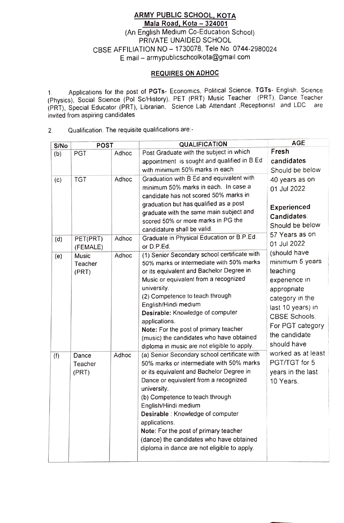### ARMY PUBLIC SCHOOL, KOTA Mala Road, Kota - 324001 (An English Medium Co-Education School) PRIVATE UNAIDED SCHOOL CBSE AFFILIATION NO- 1730078, Tele No. 0744-2980024 E mail-armypublicschoolkota@gmail com

#### REQUIRES ON ADHOC

1. Applications for the post of PGTs- Economics, Political Science, TGTs- English, Science (Physics), Social Science (Pol Sc/History), PET (PRT) Music Teacher (PRT). Dance Teacher (PRT), Special Educator (PRT), Librarian, Science Lab Atendant .Receptionist and LDC are invited from aspiring candidates

2. Qualification. The requisite qualifications are

| S/No | <b>POST</b> |       | <b>QUALIFICATION</b>                                                          | <b>AGE</b>         |
|------|-------------|-------|-------------------------------------------------------------------------------|--------------------|
| (b)  | <b>PGT</b>  | Adhoc | Post Graduate with the subject in which                                       | Fresh              |
|      |             |       | appointment is sought and qualified in B.Ed                                   | candidates:        |
|      |             |       | with minimum 50% marks in each                                                | Should be below    |
| (c)  | <b>TGT</b>  | Adhoc | Graduation with B Ed and equivalent with                                      | 40 years as on     |
|      |             |       | minimum 50% marks in each. In case a                                          | 01 Jul 2022        |
|      |             |       | candidate has not scored 50% marks in                                         |                    |
|      |             |       | graduation but has qualified as a post                                        | Experienced        |
|      |             |       | graduate with the same main subject and<br>scored 50% or more marks in PG the | <b>Candidates:</b> |
|      |             |       | candidature shall be valid.                                                   | Should be below    |
|      | PET(PRT)    | Adhoc | Graduate in Physical Education or B.P.Ed.                                     | 57 Years as on     |
| (d)  | (FEMALE)    |       | or D.P.Ed.                                                                    | 01 Jul 2022        |
| (e)  | Music       | Adhoc | (1) Senior Secondary school certificate with                                  | (should have       |
|      | Teacher     |       | 50% marks or intermediate with 50% marks                                      | minimum 5 years    |
|      | (PRT)       |       | or its equivalent and Bachelor Degree in                                      | teaching           |
|      |             |       | Music or equivalent from a recognized                                         | experience in      |
|      |             |       | university.                                                                   | appropriate        |
|      |             |       | (2) Competence to teach through                                               | category in the    |
|      |             |       | English/Hindi medium<br>Desirable: Knowledge of computer                      | last 10 years) in  |
|      |             |       | applications.                                                                 | CBSE Schools.      |
|      |             |       | Note: For the post of primary teacher                                         | For PGT category   |
|      |             |       | (music) the candidates who have obtained                                      | the candidate      |
|      |             |       | diploma in music are not eligible to apply.                                   | should have        |
| (f)  | Dance       | Adhoc | (a) Senior Secondary school certificate with                                  | worked as at least |
|      | Teacher     |       | 50% marks or intermediate with 50% marks                                      | PGT/TGT for 5      |
|      | (PRT)       |       | or its equivalent and Bachelor Degree in                                      | years in the last  |
|      |             |       | Dance or equivalent from a recognized                                         | 10 Years.          |
|      |             |       | university.                                                                   |                    |
|      |             |       | (b) Competence to teach through<br>English/Hindi medium                       |                    |
|      |             |       | Desirable: Knowledge of computer                                              |                    |
|      |             |       | applications.                                                                 |                    |
|      |             |       | Note: For the post of primary teacher                                         |                    |
|      |             |       | (dance) the candidates who have obtained                                      |                    |
|      |             |       | diploma in dance are not eligible to apply.                                   |                    |
|      |             |       |                                                                               |                    |